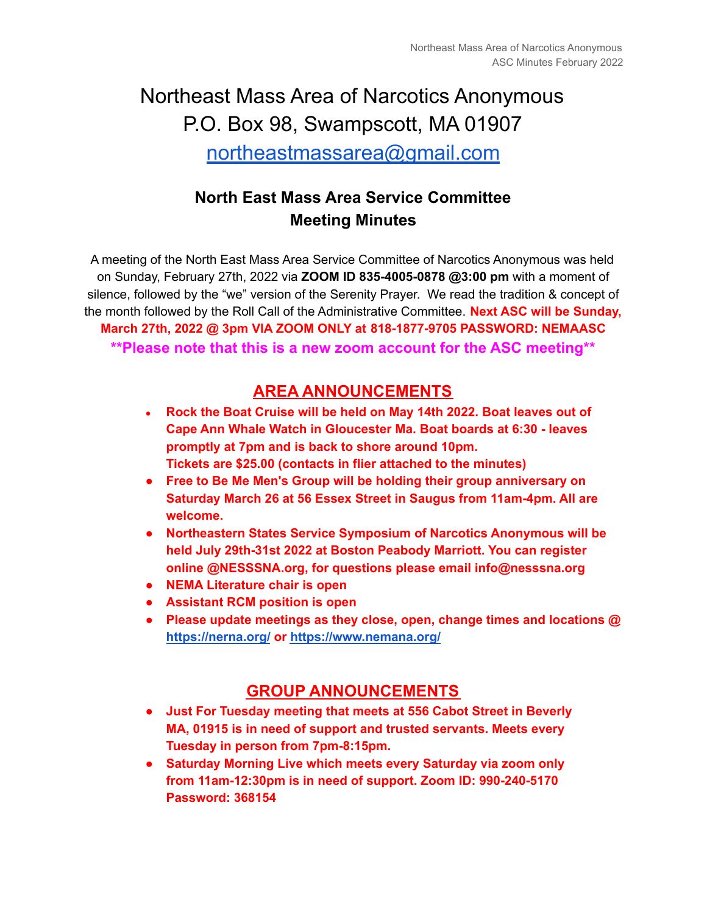# Northeast Mass Area of Narcotics Anonymous P.O. Box 98, Swampscott, MA 01907 [northeastmassarea@gmail.com](mailto:northeastmassarea@gmail.com)

# **North East Mass Area Service Committee Meeting Minutes**

A meeting of the North East Mass Area Service Committee of Narcotics Anonymous was held on Sunday, February 27th, 2022 via **ZOOM ID 835-4005-0878 @3:00 pm** with a moment of silence, followed by the "we" version of the Serenity Prayer. We read the tradition & concept of the month followed by the Roll Call of the Administrative Committee. **Next ASC will be Sunday, March 27th, 2022 @ 3pm VIA ZOOM ONLY at 818-1877-9705 PASSWORD: NEMAASC \*\*Please note that this is a new zoom account for the ASC meeting\*\***

# **AREA ANNOUNCEMENTS**

- **● Rock the Boat Cruise will be held on May 14th 2022. Boat leaves out of Cape Ann Whale Watch in Gloucester Ma. Boat boards at 6:30 - leaves promptly at 7pm and is back to shore around 10pm. Tickets are \$25.00 (contacts in flier attached to the minutes)**
- **● Free to Be Me Men's Group will be holding their group anniversary on Saturday March 26 at 56 Essex Street in Saugus from 11am-4pm. All are welcome.**
- **● Northeastern States Service Symposium of Narcotics Anonymous will be held July 29th-31st 2022 at Boston Peabody Marriott. You can register online @NESSSNA.org, for questions please email info@nesssna.org**
- **● NEMA Literature chair is open**
- **● Assistant RCM position is open**
- **● Please update meetings as they close, open, change times and locations @ <https://nerna.org/> or <https://www.nemana.org/>**

#### **GROUP ANNOUNCEMENTS**

- **● Just For Tuesday meeting that meets at 556 Cabot Street in Beverly MA, 01915 is in need of support and trusted servants. Meets every Tuesday in person from 7pm-8:15pm.**
- **● Saturday Morning Live which meets every Saturday via zoom only from 11am-12:30pm is in need of support. Zoom ID: 990-240-5170 Password: 368154**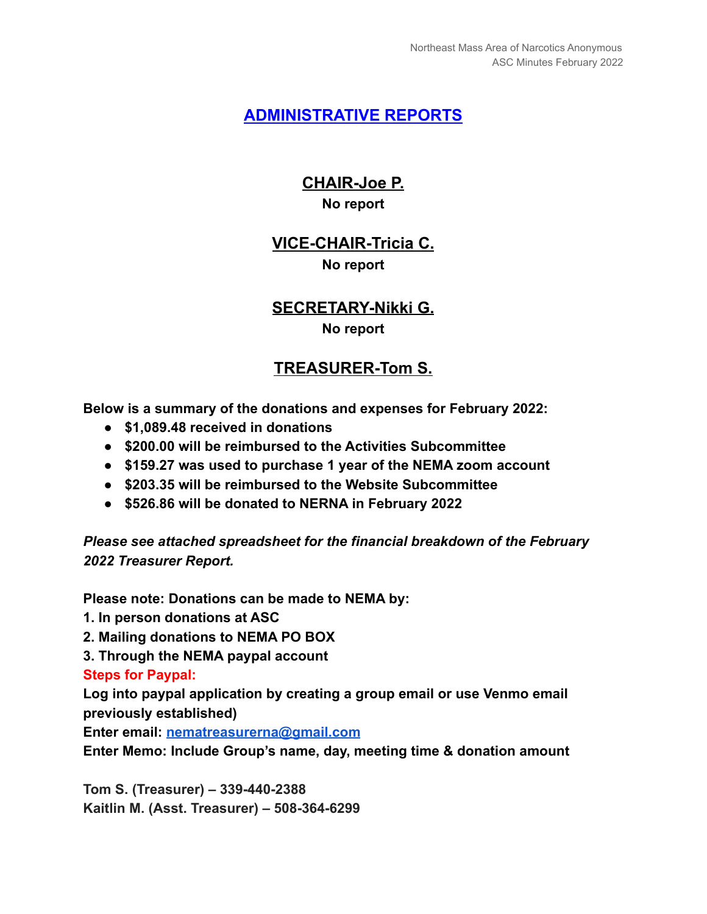#### **ADMINISTRATIVE REPORTS**

### **CHAIR-Joe P. No report**

#### **VICE-CHAIR-Tricia C. No report**

# **SECRETARY-Nikki G. No report**

# **TREASURER-Tom S.**

**Below is a summary of the donations and expenses for February 2022:**

- **● \$1,089.48 received in donations**
- **● \$200.00 will be reimbursed to the Activities Subcommittee**
- **● \$159.27 was used to purchase 1 year of the NEMA zoom account**
- **● \$203.35 will be reimbursed to the Website Subcommittee**
- **● \$526.86 will be donated to NERNA in February 2022**

*Please see attached spreadsheet for the financial breakdown of the February 2022 Treasurer Report.*

**Please note: Donations can be made to NEMA by:**

- **1. In person donations at ASC**
- **2. Mailing donations to NEMA PO BOX**
- **3. Through the NEMA paypal account**

**Steps for Paypal:**

**Log into paypal application by creating a group email or use Venmo email previously established)**

**Enter email: [nematreasurerna@gmail.com](mailto:nematreasurerna@gmail.com)**

**Enter Memo: Include Group's name, day, meeting time & donation amount**

**Tom S. (Treasurer) – 339-440-2388 Kaitlin M. (Asst. Treasurer) – 508-364-6299**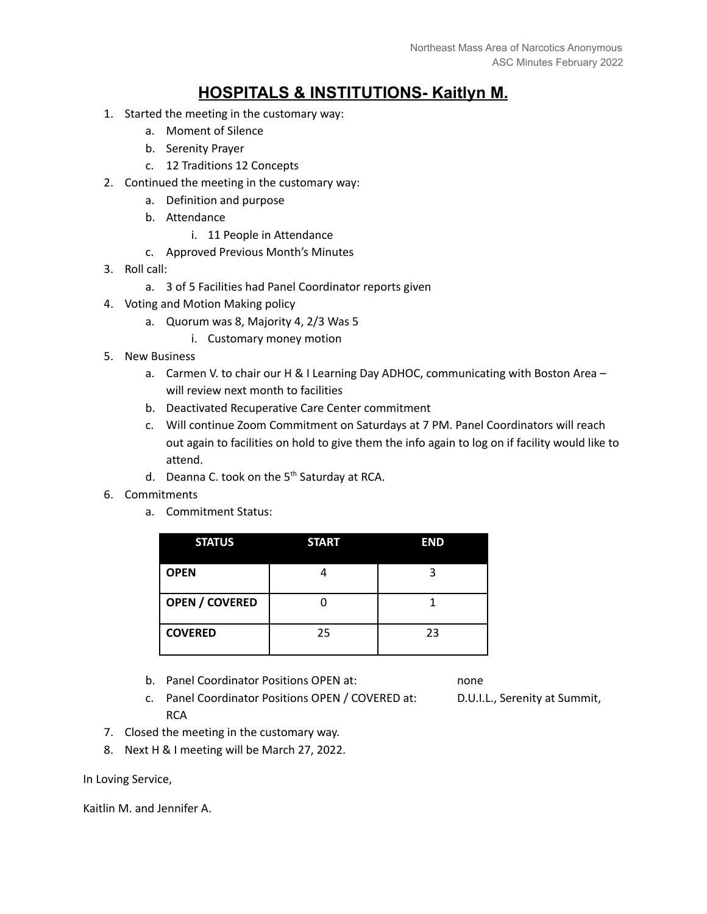### **HOSPITALS & INSTITUTIONS- Kaitlyn M.**

- 1. Started the meeting in the customary way:
	- a. Moment of Silence
	- b. Serenity Prayer
	- c. 12 Traditions 12 Concepts
- 2. Continued the meeting in the customary way:
	- a. Definition and purpose
	- b. Attendance
		- i. 11 People in Attendance
	- c. Approved Previous Month's Minutes
- 3. Roll call:
	- a. 3 of 5 Facilities had Panel Coordinator reports given
- 4. Voting and Motion Making policy
	- a. Quorum was 8, Majority 4, 2/3 Was 5
		- i. Customary money motion
- 5. New Business
	- a. Carmen V. to chair our H & I Learning Day ADHOC, communicating with Boston Area will review next month to facilities
	- b. Deactivated Recuperative Care Center commitment
	- c. Will continue Zoom Commitment on Saturdays at 7 PM. Panel Coordinators will reach out again to facilities on hold to give them the info again to log on if facility would like to attend.
	- d. Deanna C. took on the 5<sup>th</sup> Saturday at RCA.
- 6. Commitments
	- a. Commitment Status:

| <b>STATUS</b>         | <b>START</b> | <b>END</b> |
|-----------------------|--------------|------------|
| <b>OPEN</b>           |              | ੨          |
| <b>OPEN / COVERED</b> |              |            |
| <b>COVERED</b>        | 25           | 23         |

b. Panel Coordinator Positions OPEN at: none

- c. Panel Coordinator Positions OPEN / COVERED at: D.U.I.L., Serenity at Summit, **RCA** 
	-

- 7. Closed the meeting in the customary way.
- 8. Next H & I meeting will be March 27, 2022.

In Loving Service,

Kaitlin M. and Jennifer A.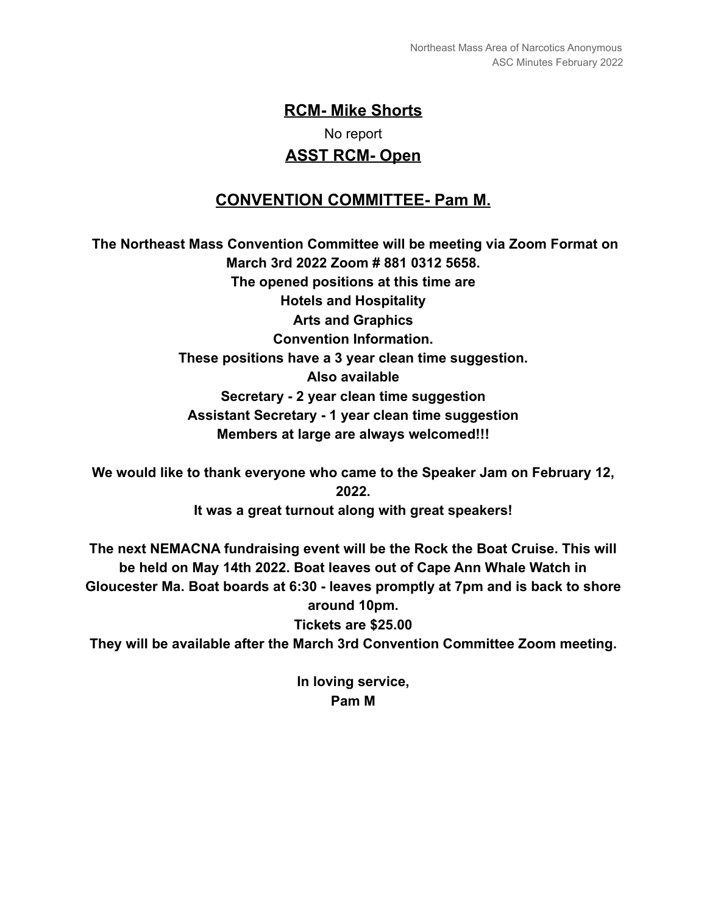# **RCM- Mike Shorts** No report **ASST RCM- Open**

# **CONVENTION COMMITTEE- Pam M.**

**The Northeast Mass Convention Committee will be meeting via Zoom Format on March 3rd 2022 Zoom # 881 0312 5658. The opened positions at this time are Hotels and Hospitality Arts and Graphics Convention Information. These positions have a 3 year clean time suggestion. Also available Secretary - 2 year clean time suggestion Assistant Secretary - 1 year clean time suggestion Members at large are always welcomed!!!**

**We would like to thank everyone who came to the Speaker Jam on February 12, 2022. It was a great turnout along with great speakers!**

**The next NEMACNA fundraising event will be the Rock the Boat Cruise. This will be held on May 14th 2022. Boat leaves out of Cape Ann Whale Watch in Gloucester Ma. Boat boards at 6:30 - leaves promptly at 7pm and is back to shore around 10pm.**

**Tickets are \$25.00**

**They will be available after the March 3rd Convention Committee Zoom meeting.**

**In loving service, Pam M**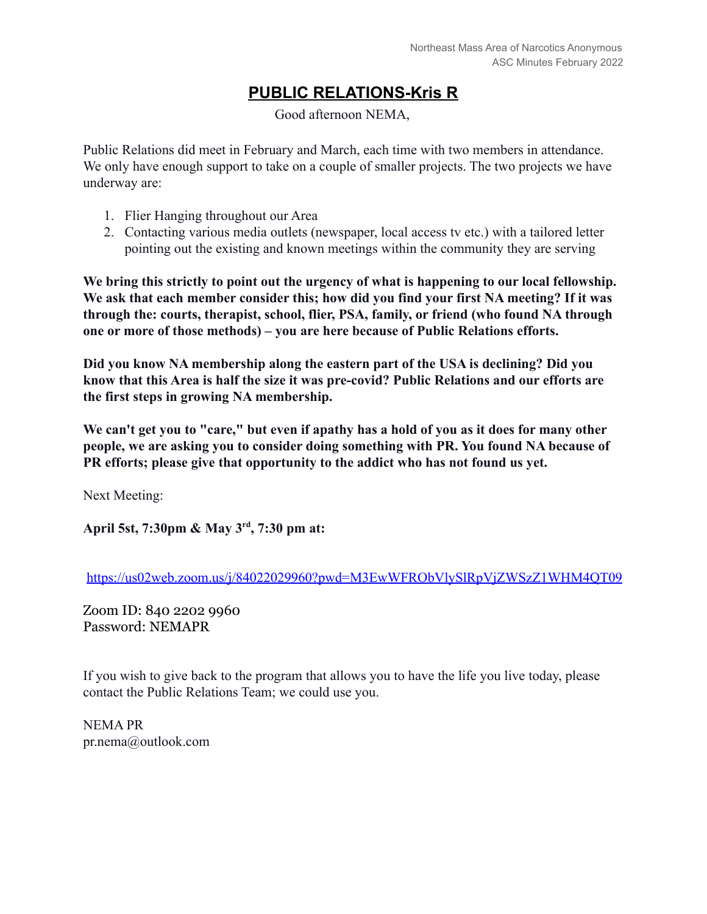# **PUBLIC RELATIONS-Kris R**

Good afternoon NEMA,

Public Relations did meet in February and March, each time with two members in attendance. We only have enough support to take on a couple of smaller projects. The two projects we have underway are:

- 1. Flier Hanging throughout our Area
- 2. Contacting various media outlets (newspaper, local access tv etc.) with a tailored letter pointing out the existing and known meetings within the community they are serving

**We bring this strictly to point out the urgency of what is happening to our local fellowship. We ask that each member consider this; how did you find your first NA meeting? If it was through the: courts, therapist, school, flier, PSA, family, or friend (who found NA through one or more of those methods) – you are here because of Public Relations efforts.**

**Did you know NA membership along the eastern part of the USA is declining? Did you know that this Area is half the size it was pre-covid? Public Relations and our efforts are the first steps in growing NA membership.**

**We can't get you to "care," but even if apathy has a hold of you as it does for many other people, we are asking you to consider doing something with PR. You found NA because of PR efforts; please give that opportunity to the addict who has not found us yet.**

Next Meeting:

**April 5st, 7:30pm & May 3rd , 7:30 pm at:**

<https://us02web.zoom.us/j/84022029960?pwd=M3EwWFRObVlySlRpVjZWSzZ1WHM4QT09>

Zoom ID: 840 2202 9960 Password: NEMAPR

If you wish to give back to the program that allows you to have the life you live today, please contact the Public Relations Team; we could use you.

NEMA PR pr.nema@outlook.com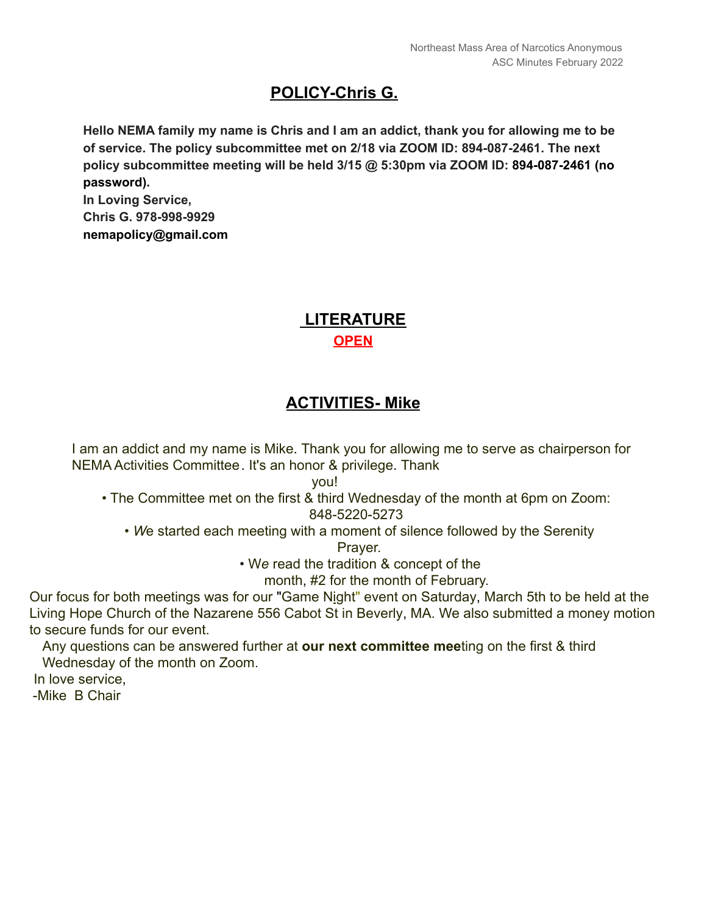### **POLICY-Chris G.**

**Hello NEMA family my name is Chris and I am an addict, thank you for allowing me to be of service. The policy subcommittee met on 2/18 via ZOOM ID: 894-087-2461. The next policy subcommittee meeting will be held 3/15 @ 5:30pm via ZOOM ID: 894-087-2461 (no password).**

**In Loving Service, Chris G. 978-998-9929 nemapolicy@gmail.com**

#### **LITERATURE OPEN**

#### **ACTIVITIES- Mike**

I am an addict and my name is Mike. Thank you for allowing me to serve as chairperson for NEMA Activities Committee. It's an honor & privilege. Thank

you!

- The Committee met on the first & third Wednesday of the month at 6pm on Zoom: 848-5220-5273
	- *W*e started each meeting with a moment of silence followed by the Serenity

Prayer.

• W*e* read the tradition & concept of the

month, #2 for the month of February.

Our focus for both meetings was for our "Game Night" event on Saturday, March 5th to be held at the Living Hope Church of the Nazarene 556 Cabot St in Beverly, MA. We also submitted a money motion to secure funds for our event.

Any questions can be answered further at **our next committee mee**ting on the first & third Wednesday of the month on Zoom.

In love service,

-Mike B Chair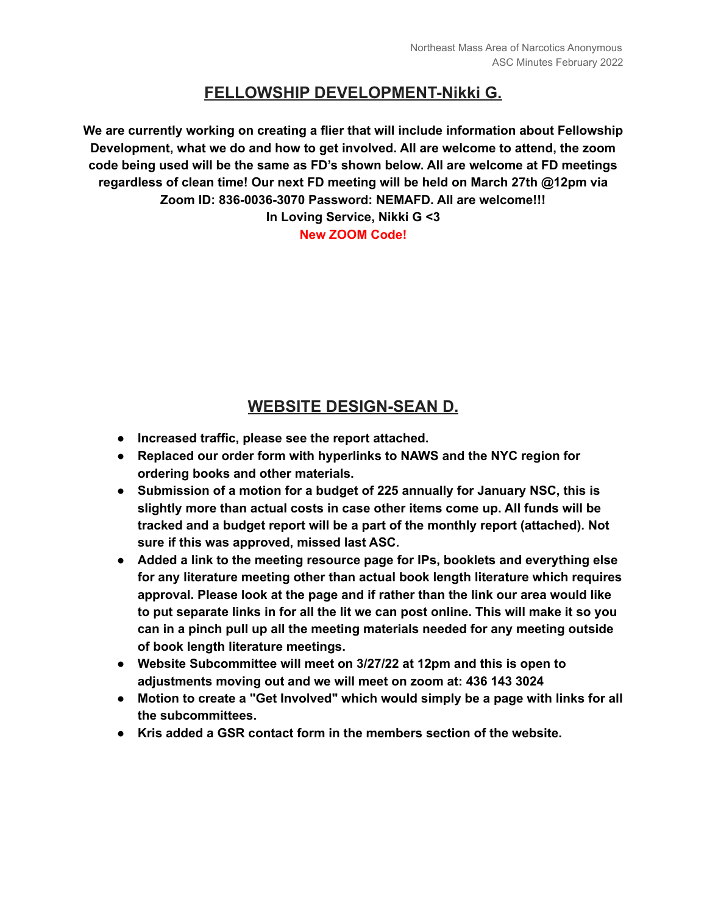#### **FELLOWSHIP DEVELOPMENT-Nikki G.**

**We are currently working on creating a flier that will include information about Fellowship Development, what we do and how to get involved. All are welcome to attend, the zoom code being used will be the same as FD's shown below. All are welcome at FD meetings regardless of clean time! Our next FD meeting will be held on March 27th @12pm via Zoom ID: 836-0036-3070 Password: NEMAFD. All are welcome!!! In Loving Service, Nikki G <3**

**New ZOOM Code!**

### **WEBSITE DESIGN-SEAN D.**

- **● Increased traffic, please see the report attached.**
- **● Replaced our order form with hyperlinks to NAWS and the NYC region for ordering books and other materials.**
- **● Submission of a motion for a budget of 225 annually for January NSC, this is slightly more than actual costs in case other items come up. All funds will be tracked and a budget report will be a part of the monthly report (attached). Not sure if this was approved, missed last ASC.**
- **● Added a link to the meeting resource page for IPs, booklets and everything else for any literature meeting other than actual book length literature which requires approval. Please look at the page and if rather than the link our area would like to put separate links in for all the lit we can post online. This will make it so you can in a pinch pull up all the meeting materials needed for any meeting outside of book length literature meetings.**
- **● Website Subcommittee will meet on 3/27/22 at 12pm and this is open to adjustments moving out and we will meet on zoom at: 436 143 3024**
- **● Motion to create a "Get Involved" which would simply be a page with links for all the subcommittees.**
- **● Kris added a GSR contact form in the members section of the website.**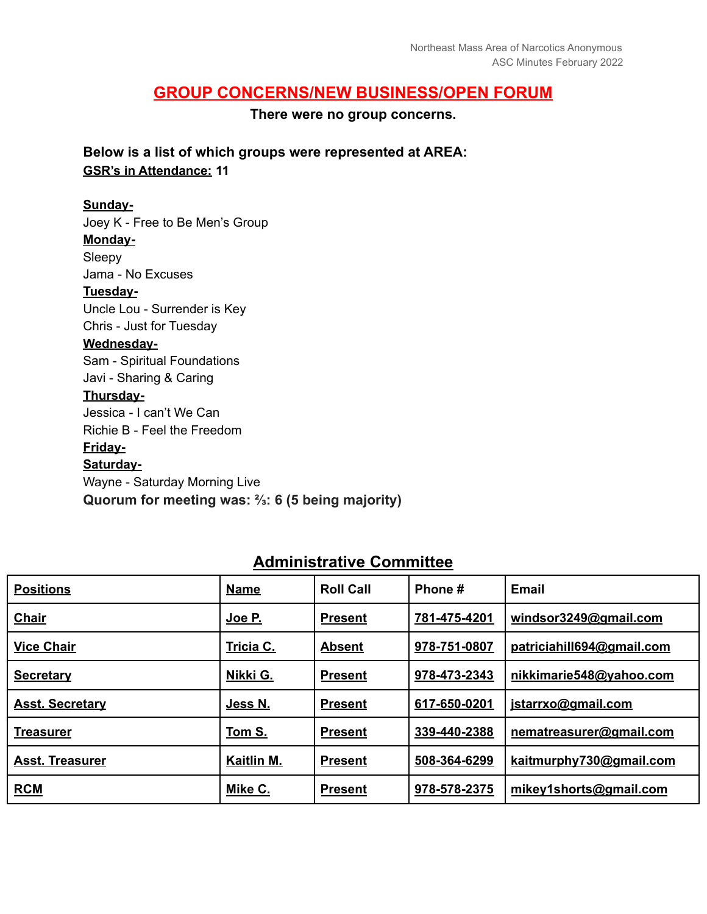#### **GROUP CONCERNS/NEW BUSINESS/OPEN FORUM**

**There were no group concerns.**

**Below is a list of which groups were represented at AREA: GSR's in Attendance: 11**

#### **Sunday-**

Joey K - Free to Be Men's Group **Monday-**Sleepy Jama - No Excuses **Tuesday-**Uncle Lou - Surrender is Key Chris - Just for Tuesday **Wednesday-**Sam - Spiritual Foundations Javi - Sharing & Caring **Thursday-**Jessica - I can't We Can Richie B - Feel the Freedom **Friday-**

**Saturday-**

Wayne - Saturday Morning Live **Quorum for meeting was: ⅔: 6 (5 being majority)**

| <b>Positions</b>       | <b>Name</b> | <b>Roll Call</b> | Phone #      | <b>Email</b>              |
|------------------------|-------------|------------------|--------------|---------------------------|
| <b>Chair</b>           | Joe P.      | <b>Present</b>   | 781-475-4201 | windsor3249@gmail.com     |
| <b>Vice Chair</b>      | Tricia C.   | <b>Absent</b>    | 978-751-0807 | patriciahill694@gmail.com |
| <b>Secretary</b>       | Nikki G.    | <b>Present</b>   | 978-473-2343 | nikkimarie548@yahoo.com   |
| <b>Asst. Secretary</b> | Jess N.     | <b>Present</b>   | 617-650-0201 | jstarrxo@gmail.com        |
| <b>Treasurer</b>       | Tom S.      | <b>Present</b>   | 339-440-2388 | nematreasurer@gmail.com   |
| <b>Asst. Treasurer</b> | Kaitlin M.  | <b>Present</b>   | 508-364-6299 | kaitmurphy730@gmail.com   |
| <b>RCM</b>             | Mike C.     | <b>Present</b>   | 978-578-2375 | mikey1shorts@gmail.com    |

#### **Administrative Committee**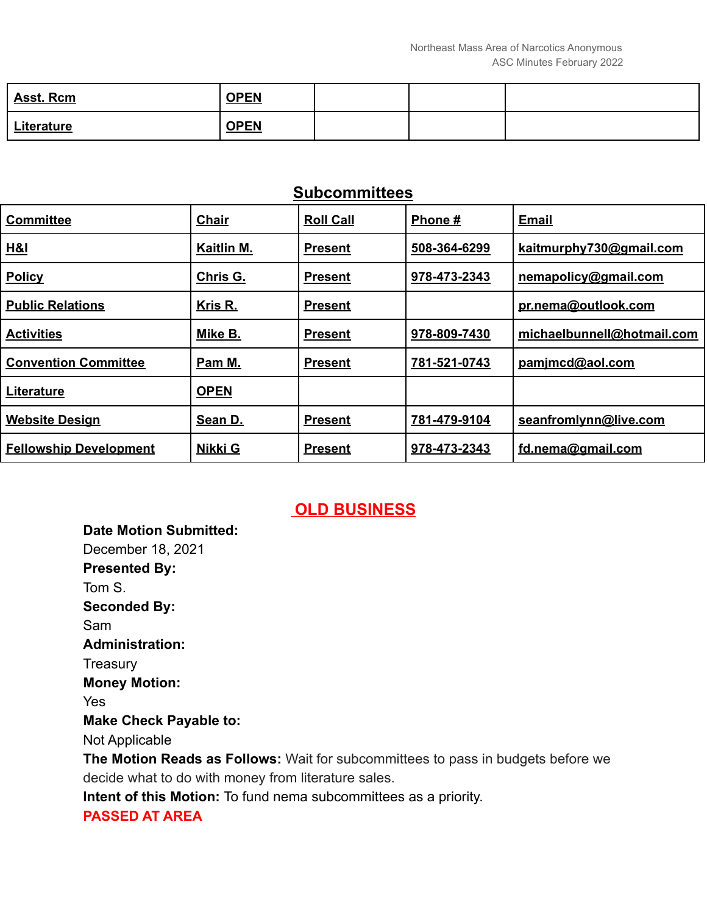| <b>Asst. Rcm</b>  | <b>OPEN</b> |  |  |
|-------------------|-------------|--|--|
| <b>Literature</b> | <b>OPEN</b> |  |  |

#### **Subcommittees**

| <b>Committee</b>              | <b>Chair</b> | <b>Roll Call</b> | Phone#       | <b>Email</b>               |
|-------------------------------|--------------|------------------|--------------|----------------------------|
| H&I                           | Kaitlin M.   | <b>Present</b>   | 508-364-6299 | kaitmurphy730@gmail.com    |
| <b>Policy</b>                 | Chris G.     | <b>Present</b>   | 978-473-2343 | nemapolicy@gmail.com       |
| <b>Public Relations</b>       | Kris R.      | <b>Present</b>   |              | pr.nema@outlook.com        |
| <b>Activities</b>             | Mike B.      | <b>Present</b>   | 978-809-7430 | michaelbunnell@hotmail.com |
| <b>Convention Committee</b>   | Pam M.       | Present          | 781-521-0743 | pamimcd@aol.com            |
| Literature                    | <b>OPEN</b>  |                  |              |                            |
| <b>Website Design</b>         | Sean D.      | <b>Present</b>   | 781-479-9104 | seanfromlynn@live.com      |
| <b>Fellowship Development</b> | Nikki G      | <b>Present</b>   | 978-473-2343 | fd.nema@gmail.com          |

#### **OLD BUSINESS**

**Date Motion Submitted:** December 18, 2021 **Presented By:** Tom S. **Seconded By:** Sam **Administration: Treasury Money Motion:** Yes **Make Check Payable to:** Not Applicable **The Motion Reads as Follows:** Wait for subcommittees to pass in budgets before we decide what to do with money from literature sales. **Intent of this Motion:** To fund nema subcommittees as a priority.

#### **PASSED AT AREA**